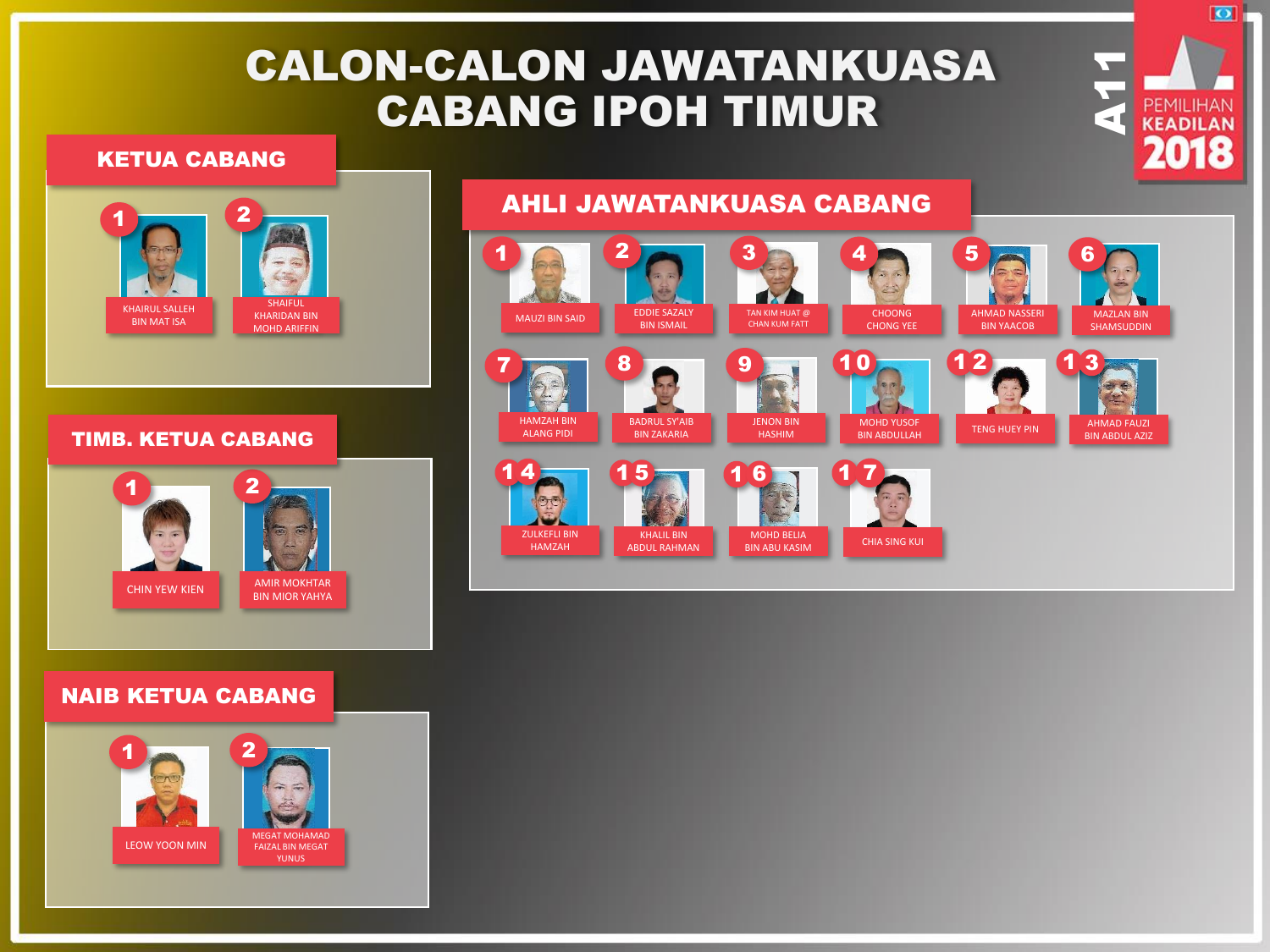# CALON-CALON JAWATANKUASA CABANG IPOH TIMUR

#### KETUA CABANG



#### TIMB. KETUA CABANG



### NAIB KETUA CABANG



## AHLI JAWATANKUASA CABANG



 $A11$ 

 $\overline{\bullet}$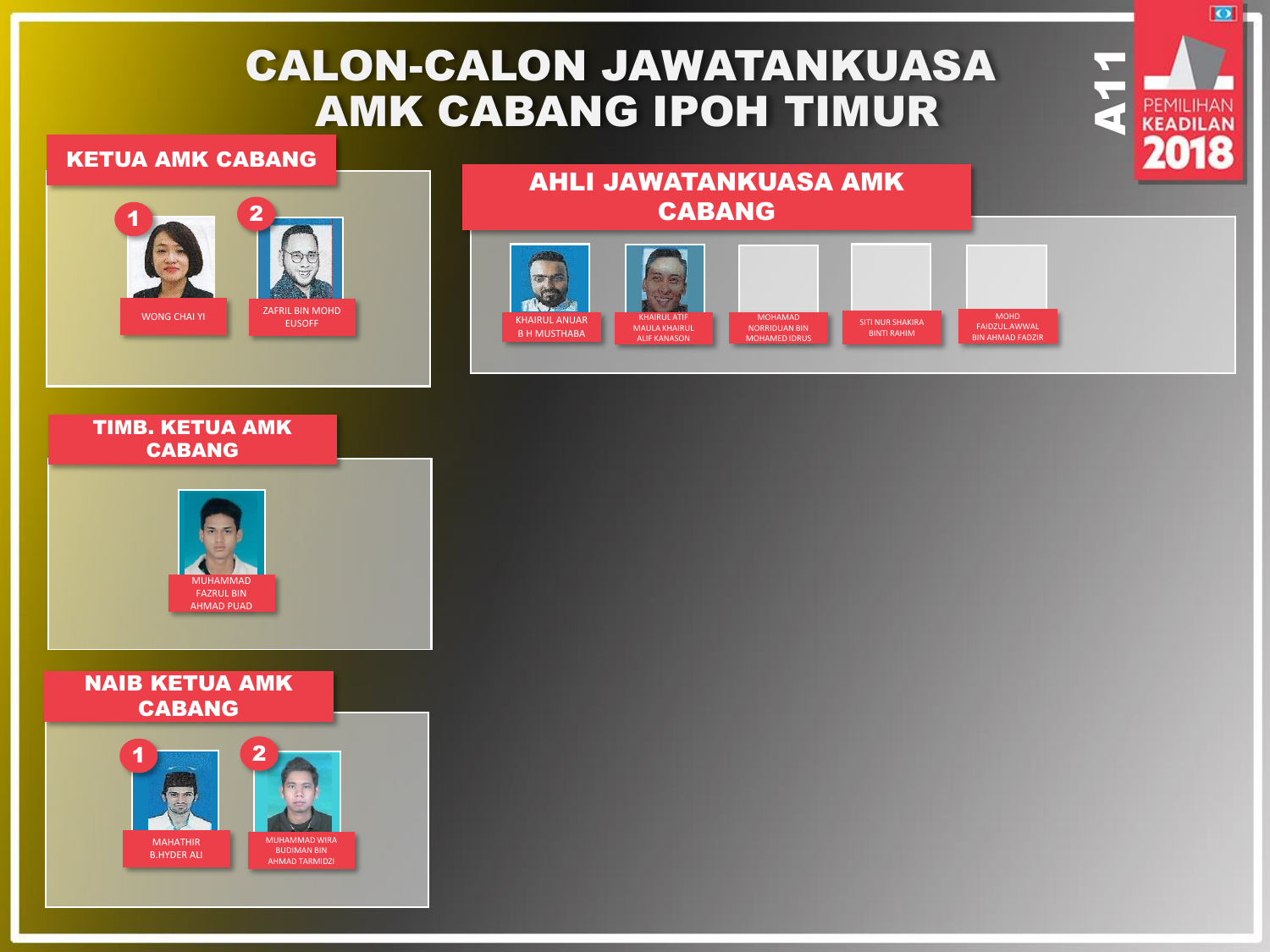# CALON-CALON JAWATANKUASA AMK CABANG IPOH TIMUR

#### KETUA AMK CABANG



## AHLI JAWATANKUASA AMK CABANG



 $A11$ 

 $\overline{\bullet}$ 





### NAIB KETUA AMK CABANG